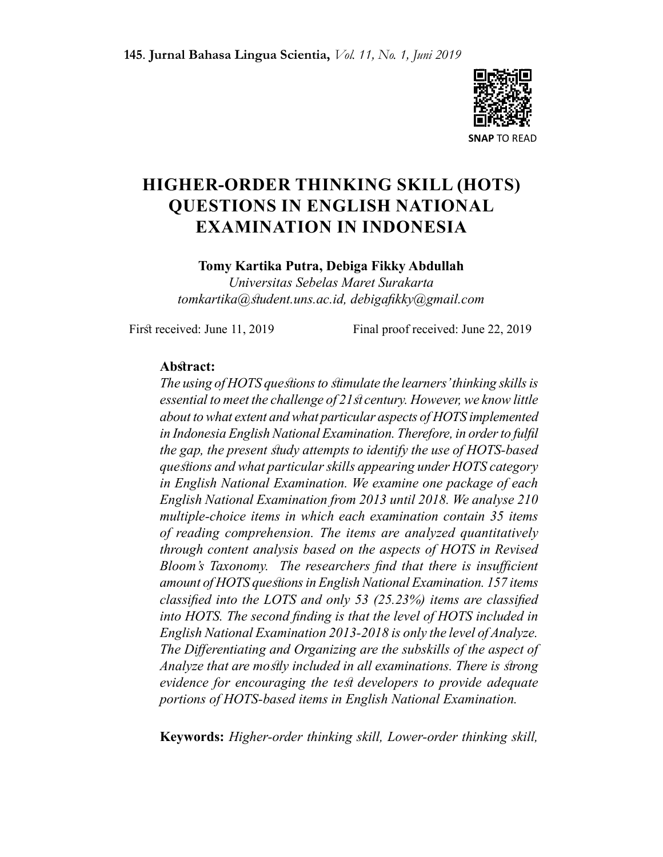

# HIGHER-ORDER THINKING SKILL (HOTS) QUESTIONS IN ENGLISH NATIONAL EXAMINATION IN INDONESIA

#### Tomy Kartika Putra, Debiga Fikky Abdullah

Universitas Sebelas Maret Surakarta tomkartika@student.uns.ac.id, debigafikky@gmail.com

First received: June 11, 2019 Final proof received: June 22, 2019

#### Abstract:

The using of HOTS questions to stimulate the learners' thinking skills is essential to meet the challenge of 21st century. However, we know little about to what extent and what particular aspects of HOTS implemented in Indonesia English National Examination. Therefore, in order to fulfil the gap, the present study attempts to identify the use of HOTS-based questions and what particular skills appearing under HOTS category in English National Examination. We examine one package of each English National Examination from 2013 until 2018. We analyse 210 multiple-choice items in which each examination contain 35 items of reading comprehension. The items are analyzed quantitatively through content analysis based on the aspects of HOTS in Revised Bloom's Taxonomy. The researchers find that there is insufficient amount of HOTS questions in English National Examination. 157 items classified into the LOTS and only 53 (25.23%) items are classified into HOTS. The second finding is that the level of HOTS included in English National Examination 2013-2018 is only the level of Analyze. The Differentiating and Organizing are the subskills of the aspect of Analyze that are mostly included in all examinations. There is strong evidence for encouraging the test developers to provide adequate portions of HOTS-based items in English National Examination.

Keywords: Higher-order thinking skill, Lower-order thinking skill,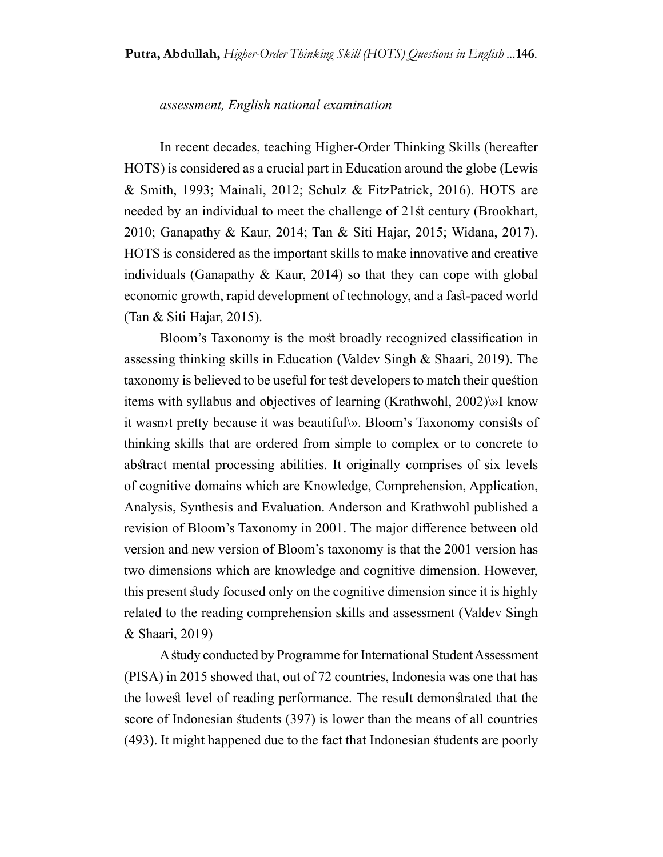#### assessment, English national examination

In recent decades, teaching Higher-Order Thinking Skills (hereafter HOTS) is considered as a crucial part in Education around the globe (Lewis & Smith, 1993; Mainali, 2012; Schulz & FitzPatrick, 2016). HOTS are needed by an individual to meet the challenge of 21st century (Brookhart, 2010; Ganapathy & Kaur, 2014; Tan & Siti Hajar, 2015; Widana, 2017). HOTS is considered as the important skills to make innovative and creative individuals (Ganapathy & Kaur, 2014) so that they can cope with global economic growth, rapid development of technology, and a fast-paced world (Tan & Siti Hajar, 2015).

Bloom's Taxonomy is the most broadly recognized classification in assessing thinking skills in Education (Valdev Singh & Shaari, 2019). The taxonomy is believed to be useful for test developers to match their question items with syllabus and objectives of learning (Krathwohl, 2002)\»I know it wasn›t pretty because it was beautiful\». Bloom's Taxonomy consists of thinking skills that are ordered from simple to complex or to concrete to abstract mental processing abilities. It originally comprises of six levels of cognitive domains which are Knowledge, Comprehension, Application, Analysis, Synthesis and Evaluation. Anderson and Krathwohl published a revision of Bloom's Taxonomy in 2001. The major difference between old version and new version of Bloom's taxonomy is that the 2001 version has two dimensions which are knowledge and cognitive dimension. However, this present study focused only on the cognitive dimension since it is highly related to the reading comprehension skills and assessment (Valdev Singh & Shaari, 2019)

A study conducted by Programme for International Student Assessment (PISA) in 2015 showed that, out of 72 countries, Indonesia was one that has the lowest level of reading performance. The result demonstrated that the score of Indonesian students (397) is lower than the means of all countries (493). It might happened due to the fact that Indonesian students are poorly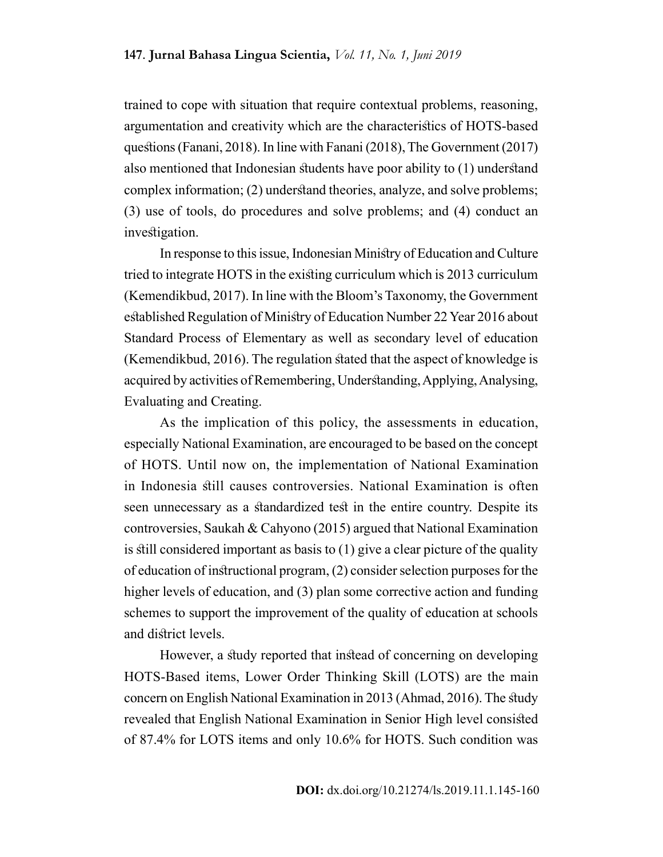trained to cope with situation that require contextual problems, reasoning, argumentation and creativity which are the characteristics of HOTS-based questions (Fanani, 2018). In line with Fanani (2018), The Government (2017) also mentioned that Indonesian students have poor ability to (1) understand complex information; (2) understand theories, analyze, and solve problems; (3) use of tools, do procedures and solve problems; and (4) conduct an investigation.

In response to this issue, Indonesian Ministry of Education and Culture tried to integrate HOTS in the existing curriculum which is 2013 curriculum (Kemendikbud, 2017). In line with the Bloom's Taxonomy, the Government established Regulation of Ministry of Education Number 22 Year 2016 about Standard Process of Elementary as well as secondary level of education (Kemendikbud, 2016). The regulation stated that the aspect of knowledge is acquired by activities of Remembering, Understanding, Applying, Analysing, Evaluating and Creating.

As the implication of this policy, the assessments in education, especially National Examination, are encouraged to be based on the concept of HOTS. Until now on, the implementation of National Examination in Indonesia still causes controversies. National Examination is often seen unnecessary as a standardized test in the entire country. Despite its controversies, Saukah & Cahyono (2015) argued that National Examination is still considered important as basis to (1) give a clear picture of the quality of education of instructional program, (2) consider selection purposes for the higher levels of education, and (3) plan some corrective action and funding schemes to support the improvement of the quality of education at schools and district levels.

However, a study reported that instead of concerning on developing HOTS-Based items, Lower Order Thinking Skill (LOTS) are the main concern on English National Examination in 2013 (Ahmad, 2016). The study revealed that English National Examination in Senior High level consisted of 87.4% for LOTS items and only 10.6% for HOTS. Such condition was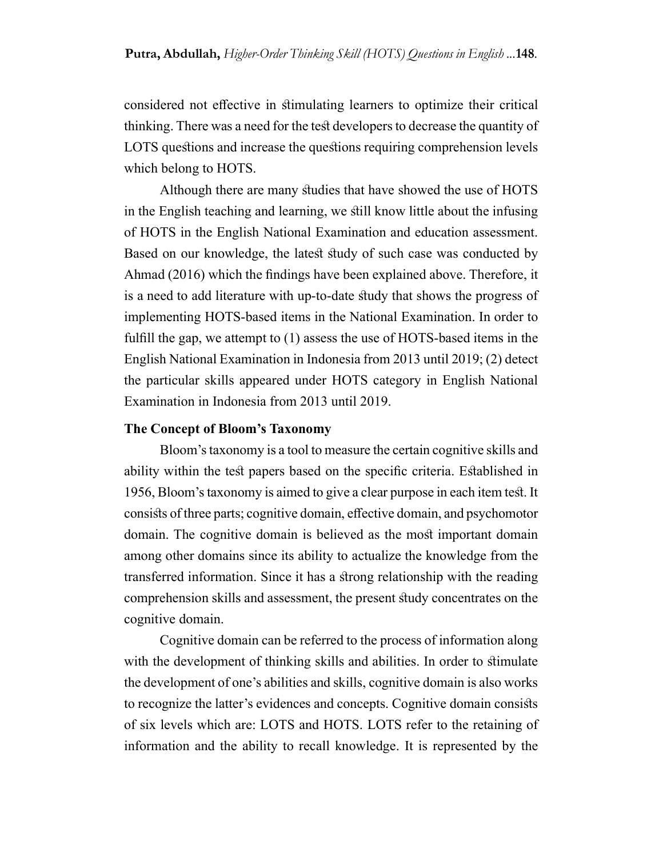considered not effective in stimulating learners to optimize their critical thinking. There was a need for the test developers to decrease the quantity of LOTS questions and increase the questions requiring comprehension levels which belong to HOTS.

Although there are many studies that have showed the use of HOTS in the English teaching and learning, we still know little about the infusing of HOTS in the English National Examination and education assessment. Based on our knowledge, the latest study of such case was conducted by Ahmad (2016) which the findings have been explained above. Therefore, it is a need to add literature with up-to-date study that shows the progress of implementing HOTS-based items in the National Examination. In order to fulfill the gap, we attempt to (1) assess the use of HOTS-based items in the English National Examination in Indonesia from 2013 until 2019; (2) detect the particular skills appeared under HOTS category in English National Examination in Indonesia from 2013 until 2019.

#### The Concept of Bloom's Taxonomy

Bloom's taxonomy is a tool to measure the certain cognitive skills and ability within the test papers based on the specific criteria. Established in 1956, Bloom's taxonomy is aimed to give a clear purpose in each item test. It consists of three parts; cognitive domain, effective domain, and psychomotor domain. The cognitive domain is believed as the most important domain among other domains since its ability to actualize the knowledge from the transferred information. Since it has a strong relationship with the reading comprehension skills and assessment, the present study concentrates on the cognitive domain.

Cognitive domain can be referred to the process of information along with the development of thinking skills and abilities. In order to stimulate the development of one's abilities and skills, cognitive domain is also works to recognize the latter's evidences and concepts. Cognitive domain consists of six levels which are: LOTS and HOTS. LOTS refer to the retaining of information and the ability to recall knowledge. It is represented by the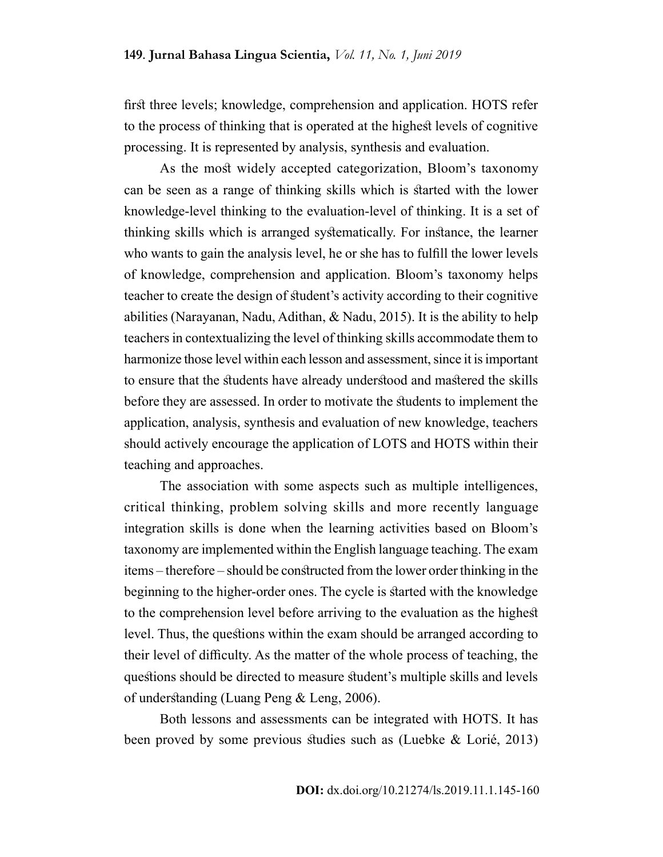first three levels; knowledge, comprehension and application. HOTS refer to the process of thinking that is operated at the highest levels of cognitive processing. It is represented by analysis, synthesis and evaluation.

As the most widely accepted categorization, Bloom's taxonomy can be seen as a range of thinking skills which is started with the lower knowledge-level thinking to the evaluation-level of thinking. It is a set of thinking skills which is arranged systematically. For instance, the learner who wants to gain the analysis level, he or she has to fulfill the lower levels of knowledge, comprehension and application. Bloom's taxonomy helps teacher to create the design of student's activity according to their cognitive abilities (Narayanan, Nadu, Adithan, & Nadu, 2015). It is the ability to help teachers in contextualizing the level of thinking skills accommodate them to harmonize those level within each lesson and assessment, since it is important to ensure that the students have already understood and mastered the skills before they are assessed. In order to motivate the students to implement the application, analysis, synthesis and evaluation of new knowledge, teachers should actively encourage the application of LOTS and HOTS within their teaching and approaches.

The association with some aspects such as multiple intelligences, critical thinking, problem solving skills and more recently language integration skills is done when the learning activities based on Bloom's taxonomy are implemented within the English language teaching. The exam items – therefore – should be constructed from the lower order thinking in the beginning to the higher-order ones. The cycle is started with the knowledge to the comprehension level before arriving to the evaluation as the highest level. Thus, the questions within the exam should be arranged according to their level of difficulty. As the matter of the whole process of teaching, the questions should be directed to measure student's multiple skills and levels of understanding (Luang Peng & Leng, 2006).

Both lessons and assessments can be integrated with HOTS. It has been proved by some previous studies such as (Luebke & Lorié, 2013)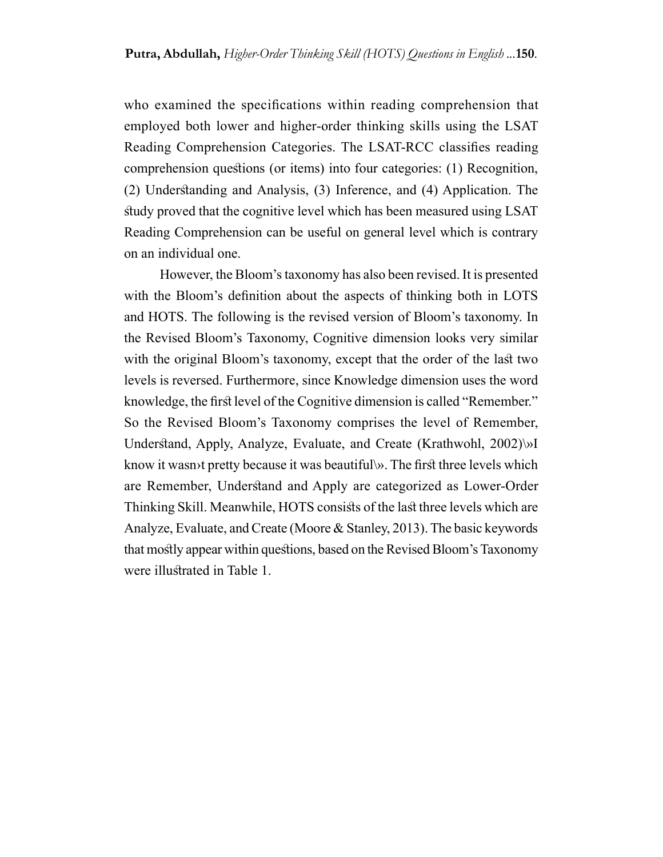who examined the specifications within reading comprehension that employed both lower and higher-order thinking skills using the LSAT Reading Comprehension Categories. The LSAT-RCC classifies reading comprehension questions (or items) into four categories: (1) Recognition, (2) Understanding and Analysis, (3) Inference, and (4) Application. The study proved that the cognitive level which has been measured using LSAT Reading Comprehension can be useful on general level which is contrary on an individual one.

However, the Bloom's taxonomy has also been revised. It is presented with the Bloom's definition about the aspects of thinking both in LOTS and HOTS. The following is the revised version of Bloom's taxonomy. In the Revised Bloom's Taxonomy, Cognitive dimension looks very similar with the original Bloom's taxonomy, except that the order of the last two levels is reversed. Furthermore, since Knowledge dimension uses the word knowledge, the first level of the Cognitive dimension is called "Remember." So the Revised Bloom's Taxonomy comprises the level of Remember, Understand, Apply, Analyze, Evaluate, and Create (Krathwohl, 2002)\»I know it wasn›t pretty because it was beautiful\». The first three levels which are Remember, Understand and Apply are categorized as Lower-Order Thinking Skill. Meanwhile, HOTS consists of the last three levels which are Analyze, Evaluate, and Create (Moore & Stanley, 2013). The basic keywords that mostly appear within questions, based on the Revised Bloom's Taxonomy were illustrated in Table 1.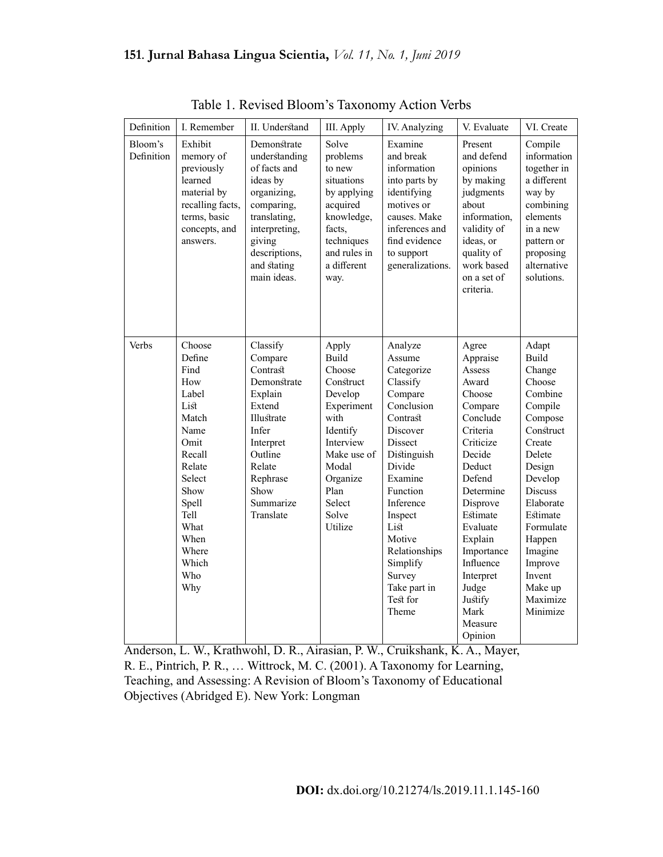| Definition            | I. Remember                                                                                                                                                                      | II. Understand                                                                                                                                                                  | III. Apply                                                                                                                                                                       | IV. Analyzing                                                                                                                                                                                                                                                                        | V. Evaluate                                                                                                                                                                                                                                                                        | VI. Create                                                                                                                                                                                                                                              |
|-----------------------|----------------------------------------------------------------------------------------------------------------------------------------------------------------------------------|---------------------------------------------------------------------------------------------------------------------------------------------------------------------------------|----------------------------------------------------------------------------------------------------------------------------------------------------------------------------------|--------------------------------------------------------------------------------------------------------------------------------------------------------------------------------------------------------------------------------------------------------------------------------------|------------------------------------------------------------------------------------------------------------------------------------------------------------------------------------------------------------------------------------------------------------------------------------|---------------------------------------------------------------------------------------------------------------------------------------------------------------------------------------------------------------------------------------------------------|
| Bloom's<br>Definition | Exhibit<br>memory of<br>previously<br>learned<br>material by<br>recalling facts,<br>terms, basic<br>concepts, and<br>answers.                                                    | Demonstrate<br>understanding<br>of facts and<br>ideas by<br>organizing,<br>comparing,<br>translating,<br>interpreting,<br>giving<br>descriptions,<br>and stating<br>main ideas. | Solve<br>problems<br>to new<br>situations<br>by applying<br>acquired<br>knowledge,<br>facts,<br>techniques<br>and rules in<br>a different<br>way.                                | Examine<br>and break<br>information<br>into parts by<br>identifying<br>motives or<br>causes. Make<br>inferences and<br>find evidence<br>to support<br>generalizations.                                                                                                               | Present<br>and defend<br>opinions<br>by making<br>judgments<br>about<br>information,<br>validity of<br>ideas, or<br>quality of<br>work based<br>on a set of<br>criteria.                                                                                                           | Compile<br>information<br>together in<br>a different<br>way by<br>combining<br>elements<br>in a new<br>pattern or<br>proposing<br>alternative<br>solutions.                                                                                             |
| Verbs                 | Choose<br>Define<br>Find<br>How<br>Label<br>List<br>Match<br>Name<br>Omit<br>Recall<br>Relate<br>Select<br>Show<br>Spell<br>Tell<br>What<br>When<br>Where<br>Which<br>Who<br>Why | Classify<br>Compare<br>Contrast<br>Demonstrate<br>Explain<br>Extend<br>Illustrate<br>Infer<br>Interpret<br>Outline<br>Relate<br>Rephrase<br>Show<br>Summarize<br>Translate      | Apply<br><b>Build</b><br>Choose<br>Construct<br>Develop<br>Experiment<br>with<br>Identify<br>Interview<br>Make use of<br>Modal<br>Organize<br>Plan<br>Select<br>Solve<br>Utilize | Analyze<br>Assume<br>Categorize<br>Classify<br>Compare<br>Conclusion<br>Contrast<br>Discover<br><b>Dissect</b><br>Distinguish<br>Divide<br>Examine<br>Function<br>Inference<br>Inspect<br>List<br>Motive<br>Relationships<br>Simplify<br>Survey<br>Take part in<br>Test for<br>Theme | Agree<br>Appraise<br>Assess<br>Award<br>Choose<br>Compare<br>Conclude<br>Criteria<br>Criticize<br>Decide<br>Deduct<br>Defend<br>Determine<br>Disprove<br>Estimate<br>Evaluate<br>Explain<br>Importance<br>Influence<br>Interpret<br>Judge<br>Justify<br>Mark<br>Measure<br>Opinion | Adapt<br>Build<br>Change<br>Choose<br>Combine<br>Compile<br>Compose<br>Construct<br>Create<br>Delete<br>Design<br>Develop<br>Discuss<br>Elaborate<br>Estimate<br>Formulate<br>Happen<br>Imagine<br>Improve<br>Invent<br>Make up<br>Maximize<br>Minimize |

Table 1. Revised Bloom's Taxonomy Action Verbs

Anderson, L. W., Krathwohl, D. R., Airasian, P. W., Cruikshank, K. A., Mayer, R. E., Pintrich, P. R., … Wittrock, M. C. (2001). A Taxonomy for Learning, Teaching, and Assessing: A Revision of Bloom's Taxonomy of Educational Objectives (Abridged E). New York: Longman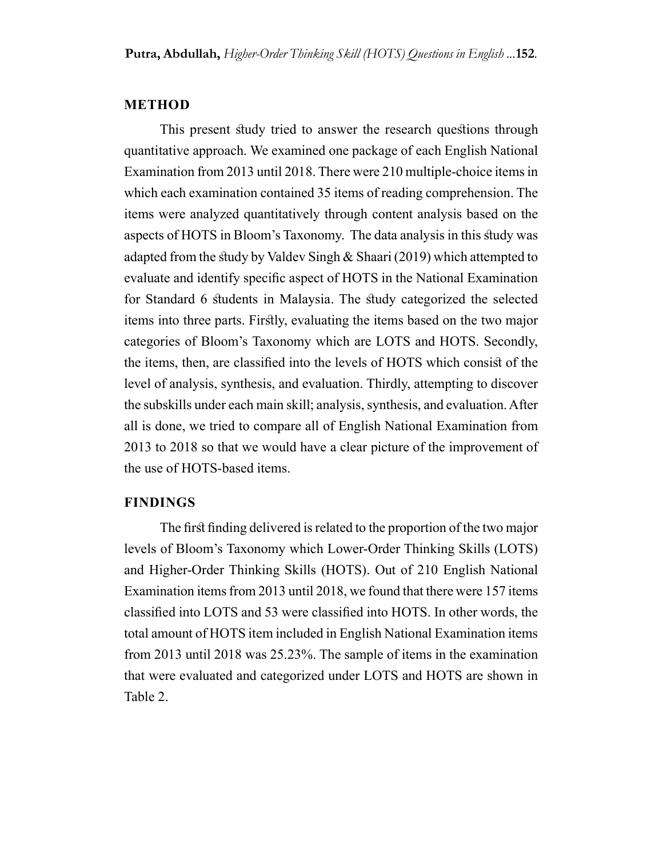#### METHOD

This present study tried to answer the research questions through quantitative approach. We examined one package of each English National Examination from 2013 until 2018. There were 210 multiple-choice items in which each examination contained 35 items of reading comprehension. The items were analyzed quantitatively through content analysis based on the aspects of HOTS in Bloom's Taxonomy. The data analysis in this study was adapted from the study by Valdev Singh & Shaari (2019) which attempted to evaluate and identify specific aspect of HOTS in the National Examination for Standard 6 students in Malaysia. The study categorized the selected items into three parts. Firstly, evaluating the items based on the two major categories of Bloom's Taxonomy which are LOTS and HOTS. Secondly, the items, then, are classified into the levels of HOTS which consist of the level of analysis, synthesis, and evaluation. Thirdly, attempting to discover the subskills under each main skill; analysis, synthesis, and evaluation. After all is done, we tried to compare all of English National Examination from 2013 to 2018 so that we would have a clear picture of the improvement of the use of HOTS-based items.

#### FINDINGS

The first finding delivered is related to the proportion of the two major levels of Bloom's Taxonomy which Lower-Order Thinking Skills (LOTS) and Higher-Order Thinking Skills (HOTS). Out of 210 English National Examination items from 2013 until 2018, we found that there were 157 items classified into LOTS and 53 were classified into HOTS. In other words, the total amount of HOTS item included in English National Examination items from 2013 until 2018 was 25.23%. The sample of items in the examination that were evaluated and categorized under LOTS and HOTS are shown in Table 2.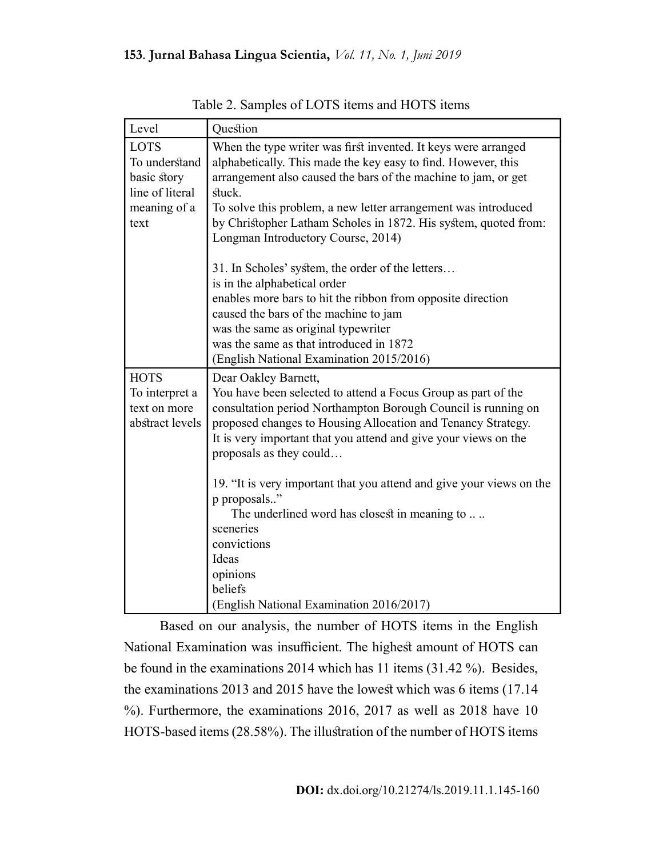| Level                                                                                  | Question                                                                                                                                                                                                                                                                                                                                                                                                     |
|----------------------------------------------------------------------------------------|--------------------------------------------------------------------------------------------------------------------------------------------------------------------------------------------------------------------------------------------------------------------------------------------------------------------------------------------------------------------------------------------------------------|
| <b>LOTS</b><br>To understand<br>basic story<br>line of literal<br>meaning of a<br>text | When the type writer was first invented. It keys were arranged<br>alphabetically. This made the key easy to find. However, this<br>arrangement also caused the bars of the machine to jam, or get<br>stuck.<br>To solve this problem, a new letter arrangement was introduced<br>by Christopher Latham Scholes in 1872. His system, quoted from:<br>Longman Introductory Course, 2014)                       |
|                                                                                        | 31. In Scholes' system, the order of the letters<br>is in the alphabetical order<br>enables more bars to hit the ribbon from opposite direction<br>caused the bars of the machine to jam<br>was the same as original typewriter<br>was the same as that introduced in 1872<br>(English National Examination 2015/2016)                                                                                       |
| <b>HOTS</b><br>To interpret a<br>text on more<br>abstract levels                       | Dear Oakley Barnett,<br>You have been selected to attend a Focus Group as part of the<br>consultation period Northampton Borough Council is running on<br>proposed changes to Housing Allocation and Tenancy Strategy.<br>It is very important that you attend and give your views on the<br>proposals as they could<br>19. "It is very important that you attend and give your views on the<br>p proposals" |
|                                                                                        | The underlined word has closest in meaning to<br>sceneries<br>convictions<br>Ideas<br>opinions<br>beliefs<br>(English National Examination 2016/2017)                                                                                                                                                                                                                                                        |

Table 2. Samples of LOTS items and HOTS items

Based on our analysis, the number of HOTS items in the English National Examination was insufficient. The highest amount of HOTS can be found in the examinations 2014 which has 11 items (31.42 %). Besides, the examinations 2013 and 2015 have the lowest which was 6 items (17.14 %). Furthermore, the examinations 2016, 2017 as well as 2018 have 10 HOTS-based items (28.58%). The illustration of the number of HOTS items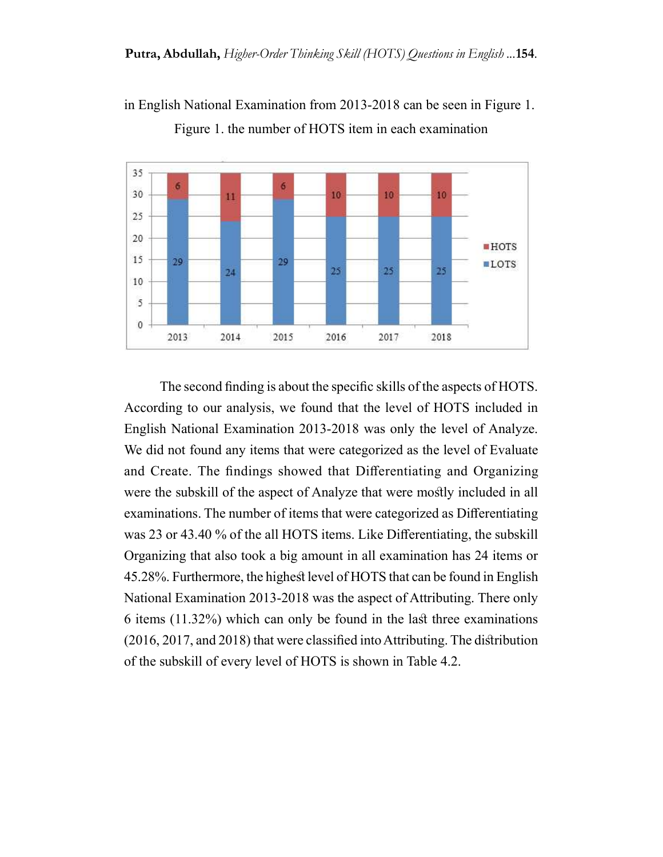

in English National Examination from 2013-2018 can be seen in Figure 1. Figure 1. the number of HOTS item in each examination

The second finding is about the specific skills of the aspects of HOTS. According to our analysis, we found that the level of HOTS included in English National Examination 2013-2018 was only the level of Analyze. We did not found any items that were categorized as the level of Evaluate and Create. The findings showed that Differentiating and Organizing were the subskill of the aspect of Analyze that were mostly included in all examinations. The number of items that were categorized as Differentiating was 23 or 43.40 % of the all HOTS items. Like Differentiating, the subskill Organizing that also took a big amount in all examination has 24 items or 45.28%. Furthermore, the highest level of HOTS that can be found in English National Examination 2013-2018 was the aspect of Attributing. There only 6 items (11.32%) which can only be found in the last three examinations (2016, 2017, and 2018) that were classified into Attributing. The distribution of the subskill of every level of HOTS is shown in Table 4.2.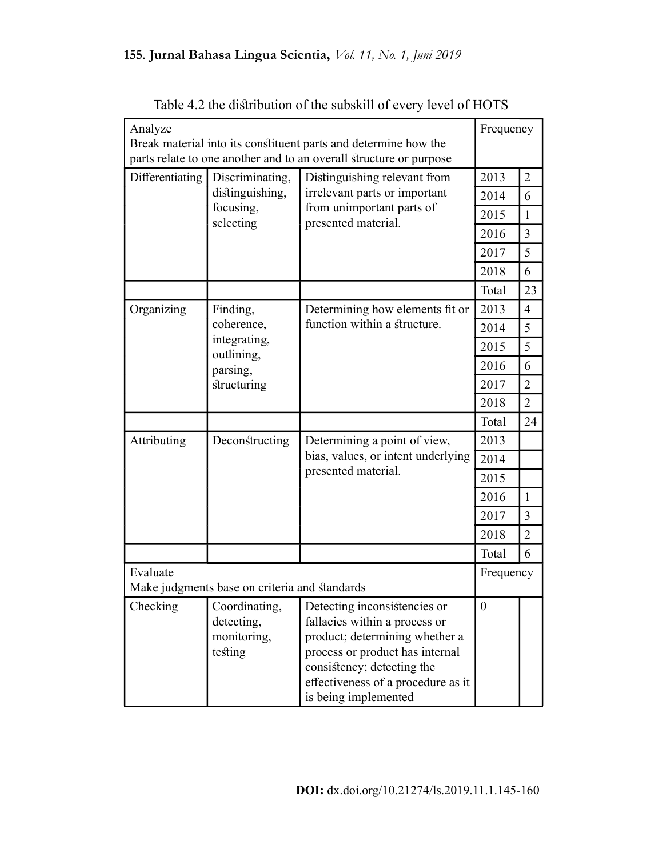## 155. Jurnal Bahasa Lingua Scientia, Vol. 11, No. 1, Juni 2019

| Analyze<br>Break material into its constituent parts and determine how the | Frequency                                                                                  |                                                                                                                                                                                                                                |                  |                |
|----------------------------------------------------------------------------|--------------------------------------------------------------------------------------------|--------------------------------------------------------------------------------------------------------------------------------------------------------------------------------------------------------------------------------|------------------|----------------|
|                                                                            |                                                                                            | parts relate to one another and to an overall structure or purpose                                                                                                                                                             |                  |                |
| Differentiating                                                            | Discriminating,                                                                            | Distinguishing relevant from                                                                                                                                                                                                   | 2013             | $\overline{2}$ |
|                                                                            | distinguishing,<br>irrelevant parts or important<br>from unimportant parts of<br>focusing, |                                                                                                                                                                                                                                | 2014             | 6              |
|                                                                            | selecting                                                                                  | presented material.                                                                                                                                                                                                            | 2015             | $\mathbf{1}$   |
|                                                                            |                                                                                            |                                                                                                                                                                                                                                | 2016             | $\overline{3}$ |
|                                                                            |                                                                                            |                                                                                                                                                                                                                                | 2017             | 5              |
|                                                                            |                                                                                            |                                                                                                                                                                                                                                | 2018             | 6              |
|                                                                            |                                                                                            |                                                                                                                                                                                                                                | Total            | 23             |
| Organizing                                                                 | Finding,                                                                                   | Determining how elements fit or                                                                                                                                                                                                | 2013             | $\overline{4}$ |
|                                                                            | coherence,                                                                                 | function within a structure.                                                                                                                                                                                                   | 2014             | 5              |
|                                                                            | integrating,<br>outlining,                                                                 |                                                                                                                                                                                                                                | 2015             | 5              |
|                                                                            | parsing,                                                                                   |                                                                                                                                                                                                                                | 2016             | 6              |
|                                                                            | structuring                                                                                | 2017                                                                                                                                                                                                                           |                  | $\overline{2}$ |
|                                                                            |                                                                                            |                                                                                                                                                                                                                                | 2018             | $\overline{2}$ |
|                                                                            |                                                                                            |                                                                                                                                                                                                                                | Total            | 24             |
| Attributing                                                                | Deconstructing                                                                             | Determining a point of view,                                                                                                                                                                                                   | 2013             |                |
|                                                                            |                                                                                            | bias, values, or intent underlying                                                                                                                                                                                             | 2014             |                |
|                                                                            |                                                                                            | presented material.                                                                                                                                                                                                            | 2015             |                |
|                                                                            |                                                                                            |                                                                                                                                                                                                                                | 2016             | $\mathbf{1}$   |
|                                                                            |                                                                                            |                                                                                                                                                                                                                                | 2017             | $\overline{3}$ |
|                                                                            |                                                                                            |                                                                                                                                                                                                                                | 2018             | $\overline{2}$ |
|                                                                            |                                                                                            |                                                                                                                                                                                                                                | Total            | 6              |
| Evaluate<br>Make judgments base on criteria and standards                  | Frequency                                                                                  |                                                                                                                                                                                                                                |                  |                |
| Checking                                                                   | Coordinating,<br>detecting,<br>monitoring,<br>testing                                      | Detecting inconsistencies or<br>fallacies within a process or<br>product; determining whether a<br>process or product has internal<br>consistency; detecting the<br>effectiveness of a procedure as it<br>is being implemented | $\boldsymbol{0}$ |                |

| Table 4.2 the distribution of the subskill of every level of HOTS |  |  |  |
|-------------------------------------------------------------------|--|--|--|
|                                                                   |  |  |  |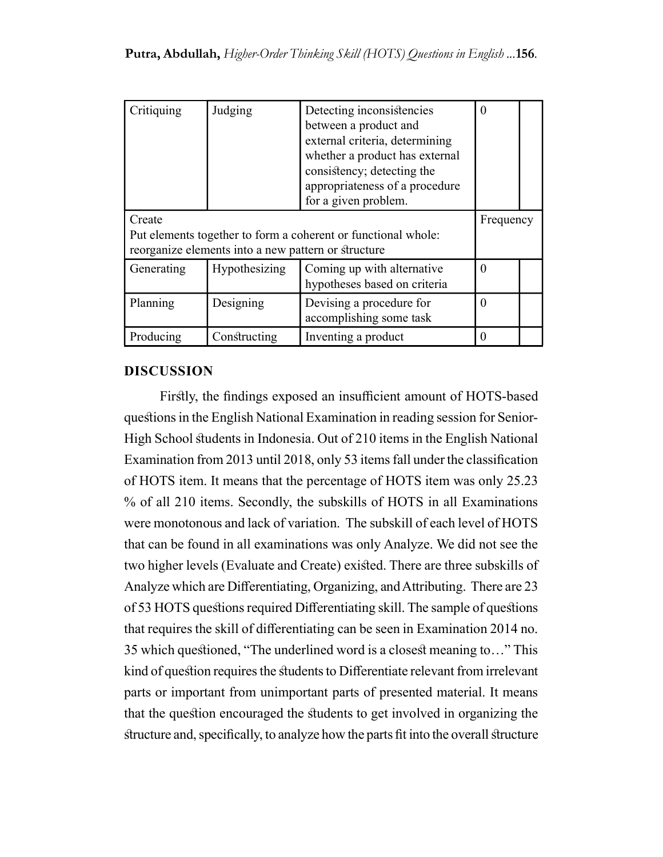| Critiquing                                                                                                                     | Judging       | Detecting inconsistencies<br>between a product and<br>external criteria, determining<br>whether a product has external<br>consistency; detecting the<br>appropriateness of a procedure<br>for a given problem. | 0        |  |
|--------------------------------------------------------------------------------------------------------------------------------|---------------|----------------------------------------------------------------------------------------------------------------------------------------------------------------------------------------------------------------|----------|--|
| Create<br>Put elements together to form a coherent or functional whole:<br>reorganize elements into a new pattern or structure | Frequency     |                                                                                                                                                                                                                |          |  |
| Generating                                                                                                                     | Hypothesizing | Coming up with alternative<br>hypotheses based on criteria                                                                                                                                                     | $\theta$ |  |
| Planning                                                                                                                       | Designing     | Devising a procedure for<br>accomplishing some task                                                                                                                                                            | $\theta$ |  |
| Producing                                                                                                                      | Constructing  | Inventing a product                                                                                                                                                                                            |          |  |

### DISCUSSION

Firstly, the findings exposed an insufficient amount of HOTS-based questions in the English National Examination in reading session for Senior-High School students in Indonesia. Out of 210 items in the English National Examination from 2013 until 2018, only 53 items fall under the classification of HOTS item. It means that the percentage of HOTS item was only 25.23 % of all 210 items. Secondly, the subskills of HOTS in all Examinations were monotonous and lack of variation. The subskill of each level of HOTS that can be found in all examinations was only Analyze. We did not see the two higher levels (Evaluate and Create) existed. There are three subskills of Analyze which are Differentiating, Organizing, and Attributing. There are 23 of 53 HOTS questions required Differentiating skill. The sample of questions that requires the skill of differentiating can be seen in Examination 2014 no. 35 which questioned, "The underlined word is a closest meaning to…" This kind of question requires the students to Differentiate relevant from irrelevant parts or important from unimportant parts of presented material. It means that the question encouraged the students to get involved in organizing the structure and, specifically, to analyze how the parts fit into the overall structure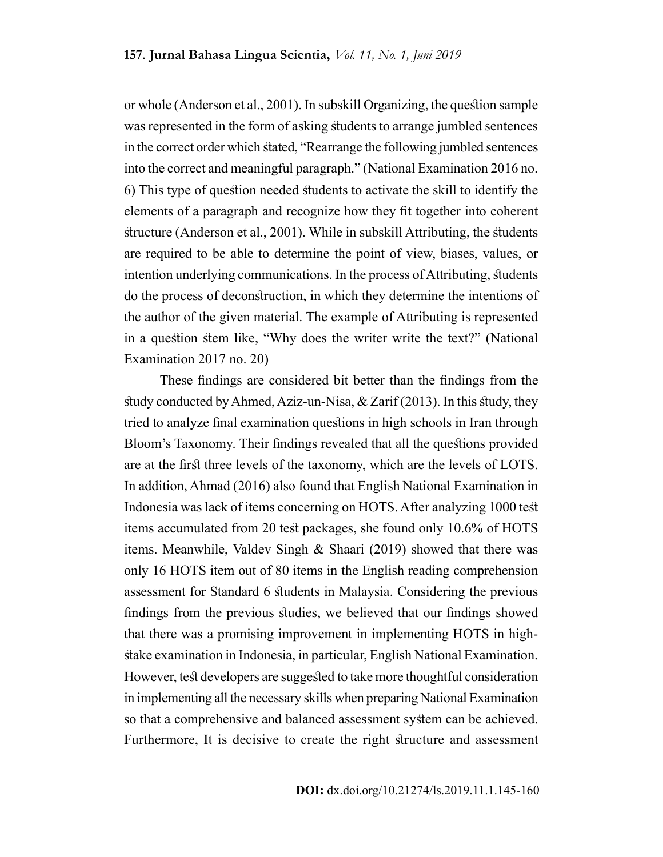or whole (Anderson et al., 2001). In subskill Organizing, the question sample was represented in the form of asking students to arrange jumbled sentences in the correct order which stated, "Rearrange the following jumbled sentences into the correct and meaningful paragraph." (National Examination 2016 no. 6) This type of question needed students to activate the skill to identify the elements of a paragraph and recognize how they fit together into coherent structure (Anderson et al., 2001). While in subskill Attributing, the students are required to be able to determine the point of view, biases, values, or intention underlying communications. In the process of Attributing, students do the process of deconstruction, in which they determine the intentions of the author of the given material. The example of Attributing is represented in a question stem like, "Why does the writer write the text?" (National Examination 2017 no. 20)

These findings are considered bit better than the findings from the study conducted by Ahmed, Aziz-un-Nisa, & Zarif (2013). In this study, they tried to analyze final examination questions in high schools in Iran through Bloom's Taxonomy. Their findings revealed that all the questions provided are at the first three levels of the taxonomy, which are the levels of LOTS. In addition, Ahmad (2016) also found that English National Examination in Indonesia was lack of items concerning on HOTS. After analyzing 1000 test items accumulated from 20 test packages, she found only 10.6% of HOTS items. Meanwhile, Valdev Singh & Shaari (2019) showed that there was only 16 HOTS item out of 80 items in the English reading comprehension assessment for Standard 6 students in Malaysia. Considering the previous findings from the previous studies, we believed that our findings showed that there was a promising improvement in implementing HOTS in highstake examination in Indonesia, in particular, English National Examination. However, test developers are suggested to take more thoughtful consideration in implementing all the necessary skills when preparing National Examination so that a comprehensive and balanced assessment system can be achieved. Furthermore, It is decisive to create the right structure and assessment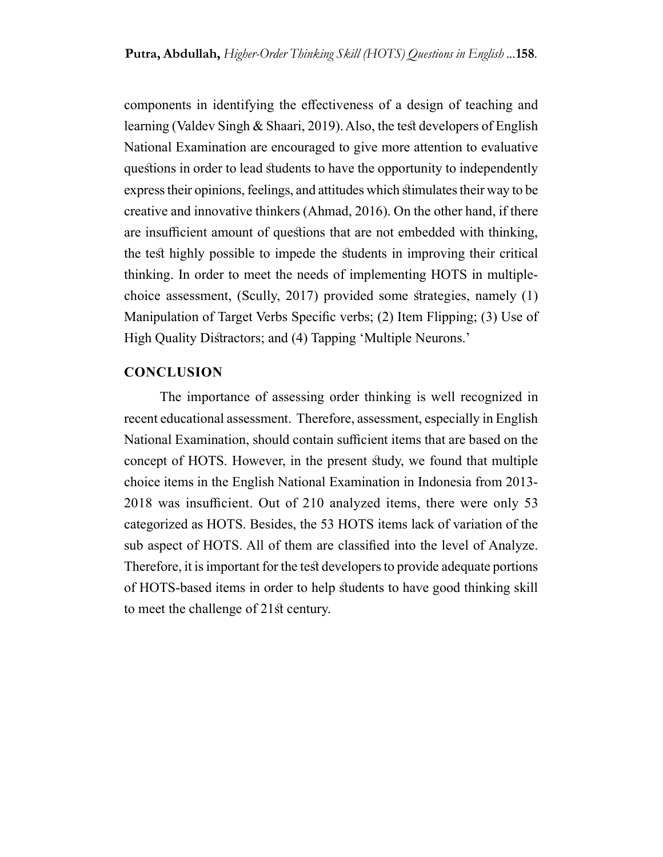components in identifying the effectiveness of a design of teaching and learning (Valdev Singh & Shaari, 2019). Also, the test developers of English National Examination are encouraged to give more attention to evaluative questions in order to lead students to have the opportunity to independently express their opinions, feelings, and attitudes which stimulates their way to be creative and innovative thinkers (Ahmad, 2016). On the other hand, if there are insufficient amount of questions that are not embedded with thinking, the test highly possible to impede the students in improving their critical thinking. In order to meet the needs of implementing HOTS in multiplechoice assessment, (Scully, 2017) provided some strategies, namely (1) Manipulation of Target Verbs Specific verbs; (2) Item Flipping; (3) Use of High Quality Distractors; and (4) Tapping 'Multiple Neurons.'

#### **CONCLUSION**

The importance of assessing order thinking is well recognized in recent educational assessment. Therefore, assessment, especially in English National Examination, should contain sufficient items that are based on the concept of HOTS. However, in the present study, we found that multiple choice items in the English National Examination in Indonesia from 2013- 2018 was insufficient. Out of 210 analyzed items, there were only 53 categorized as HOTS. Besides, the 53 HOTS items lack of variation of the sub aspect of HOTS. All of them are classified into the level of Analyze. Therefore, it is important for the test developers to provide adequate portions of HOTS-based items in order to help students to have good thinking skill to meet the challenge of 21st century.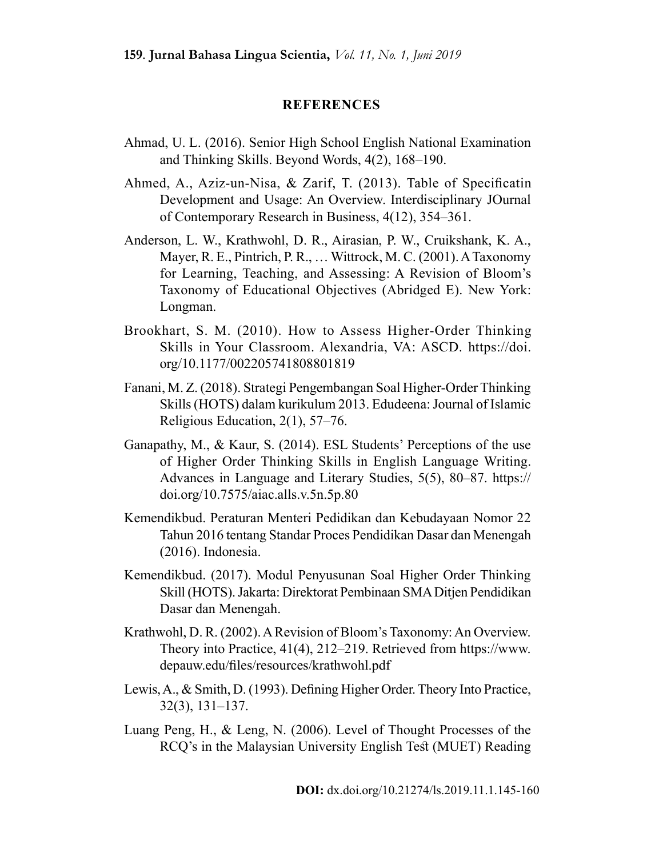#### REFERENCES

- Ahmad, U. L. (2016). Senior High School English National Examination and Thinking Skills. Beyond Words, 4(2), 168–190.
- Ahmed, A., Aziz-un-Nisa, & Zarif, T. (2013). Table of Specificatin Development and Usage: An Overview. Interdisciplinary JOurnal of Contemporary Research in Business, 4(12), 354–361.
- Anderson, L. W., Krathwohl, D. R., Airasian, P. W., Cruikshank, K. A., Mayer, R. E., Pintrich, P. R., … Wittrock, M. C. (2001). A Taxonomy for Learning, Teaching, and Assessing: A Revision of Bloom's Taxonomy of Educational Objectives (Abridged E). New York: Longman.
- Brookhart, S. M. (2010). How to Assess Higher-Order Thinking Skills in Your Classroom. Alexandria, VA: ASCD. https://doi. org/10.1177/002205741808801819
- Fanani, M. Z. (2018). Strategi Pengembangan Soal Higher-Order Thinking Skills (HOTS) dalam kurikulum 2013. Edudeena: Journal of Islamic Religious Education, 2(1), 57–76.
- Ganapathy, M., & Kaur, S. (2014). ESL Students' Perceptions of the use of Higher Order Thinking Skills in English Language Writing. Advances in Language and Literary Studies, 5(5), 80–87. https:// doi.org/10.7575/aiac.alls.v.5n.5p.80
- Kemendikbud. Peraturan Menteri Pedidikan dan Kebudayaan Nomor 22 Tahun 2016 tentang Standar Proces Pendidikan Dasar dan Menengah (2016). Indonesia.
- Kemendikbud. (2017). Modul Penyusunan Soal Higher Order Thinking Skill (HOTS). Jakarta: Direktorat Pembinaan SMA Ditjen Pendidikan Dasar dan Menengah.
- Krathwohl, D. R. (2002). A Revision of Bloom's Taxonomy: An Overview. Theory into Practice, 41(4), 212–219. Retrieved from https://www. depauw.edu/files/resources/krathwohl.pdf
- Lewis, A., & Smith, D. (1993). Defining Higher Order. Theory Into Practice, 32(3), 131–137.
- Luang Peng, H., & Leng, N. (2006). Level of Thought Processes of the RCQ's in the Malaysian University English Test (MUET) Reading